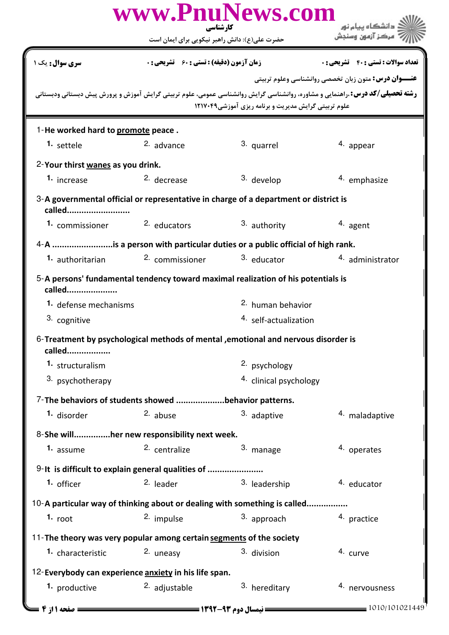| www.PnuNews.com<br>کارشناسی                                                                                                                                                                   |                                                                                    |                              |                                                             |  |  |  |
|-----------------------------------------------------------------------------------------------------------------------------------------------------------------------------------------------|------------------------------------------------------------------------------------|------------------------------|-------------------------------------------------------------|--|--|--|
|                                                                                                                                                                                               | حضرت علی(ع): دانش راهبر نیکویی برای ایمان است                                      |                              |                                                             |  |  |  |
| سری سوال : یک ۱                                                                                                                                                                               | <b>زمان آزمون (دقیقه) : تستی : 60 ٪ تشریحی : 0</b>                                 |                              | <b>تعداد سوالات : تستي : 40 ٪ تشريحي : 0</b>                |  |  |  |
|                                                                                                                                                                                               |                                                                                    |                              | <b>عنـــوان درس:</b> متون زبان تخصصي روانشناسي وعلوم تربيتي |  |  |  |
| <b>رشته تحصیلی/کد درس: .</b> راهنمایی و مشاوره، روانشناسی گرایش روانشناسی عمومی، علوم تربیتی گرایش آموزش و پرورش پیش دبستانی ودبستانی<br>علوم تربیتی گرایش مدیریت و برنامه ریزی آموزشی۱۲۱۷۰۴۹ |                                                                                    |                              |                                                             |  |  |  |
| 1-He worked hard to promote peace.                                                                                                                                                            |                                                                                    |                              |                                                             |  |  |  |
| <sup>1.</sup> settele                                                                                                                                                                         | 2. advance                                                                         | 3. quarrel                   | 4. appear                                                   |  |  |  |
| 2-Your thirst wanes as you drink.                                                                                                                                                             |                                                                                    |                              |                                                             |  |  |  |
| 1. increase                                                                                                                                                                                   | <sup>2.</sup> decrease                                                             | 3. develop                   | 4. emphasize                                                |  |  |  |
| 3-A governmental official or representative in charge of a department or district is<br>called                                                                                                |                                                                                    |                              |                                                             |  |  |  |
| 1. commissioner                                                                                                                                                                               | 2. educators                                                                       | 3. authority                 | $4.$ agent                                                  |  |  |  |
|                                                                                                                                                                                               | 4-A is a person with particular duties or a public official of high rank.          |                              |                                                             |  |  |  |
| 1. authoritarian                                                                                                                                                                              | 2. commissioner                                                                    | 3. educator                  | 4. administrator                                            |  |  |  |
| called                                                                                                                                                                                        | 5-A persons' fundamental tendency toward maximal realization of his potentials is  |                              |                                                             |  |  |  |
| 1. defense mechanisms                                                                                                                                                                         |                                                                                    | <sup>2.</sup> human behavior |                                                             |  |  |  |
| 3. cognitive                                                                                                                                                                                  |                                                                                    | 4. self-actualization        |                                                             |  |  |  |
| called                                                                                                                                                                                        | 6-Treatment by psychological methods of mental , emotional and nervous disorder is |                              |                                                             |  |  |  |
| 1. structuralism                                                                                                                                                                              |                                                                                    | 2. psychology                |                                                             |  |  |  |
| 3. psychotherapy                                                                                                                                                                              |                                                                                    | 4. clinical psychology       |                                                             |  |  |  |
|                                                                                                                                                                                               | 7-The behaviors of students showed behavior patterns.                              |                              |                                                             |  |  |  |
| 1. disorder                                                                                                                                                                                   | 2. abuse                                                                           | 3. adaptive                  | 4. maladaptive                                              |  |  |  |
|                                                                                                                                                                                               | 8-She willher new responsibility next week.                                        |                              |                                                             |  |  |  |
| 1. assume                                                                                                                                                                                     | 2. centralize                                                                      | 3. manage                    | 4. operates                                                 |  |  |  |
|                                                                                                                                                                                               | 9-It is difficult to explain general qualities of                                  |                              |                                                             |  |  |  |
| 1. officer                                                                                                                                                                                    | <sup>2.</sup> leader                                                               | 3. leadership                | 4. educator                                                 |  |  |  |
| 10-A particular way of thinking about or dealing with something is called                                                                                                                     |                                                                                    |                              |                                                             |  |  |  |
| $1.$ root                                                                                                                                                                                     | 2. impulse                                                                         | 3. approach                  | 4. practice                                                 |  |  |  |
| 11-The theory was very popular among certain segments of the society                                                                                                                          |                                                                                    |                              |                                                             |  |  |  |
| 1. characteristic                                                                                                                                                                             | 2. uneasy                                                                          | 3. division                  | 4. curve                                                    |  |  |  |
| 12- Everybody can experience anxiety in his life span.                                                                                                                                        |                                                                                    |                              |                                                             |  |  |  |
| 1. productive                                                                                                                                                                                 | 2. adjustable                                                                      | 3. hereditary                | 4. nervousness                                              |  |  |  |
| <b>صفحه 11; 4 =</b>                                                                                                                                                                           | <b>= نیمسال دوم ۹۳-۱۳۹۲ <del>---------</del></b>                                   |                              | 1010/101021449                                              |  |  |  |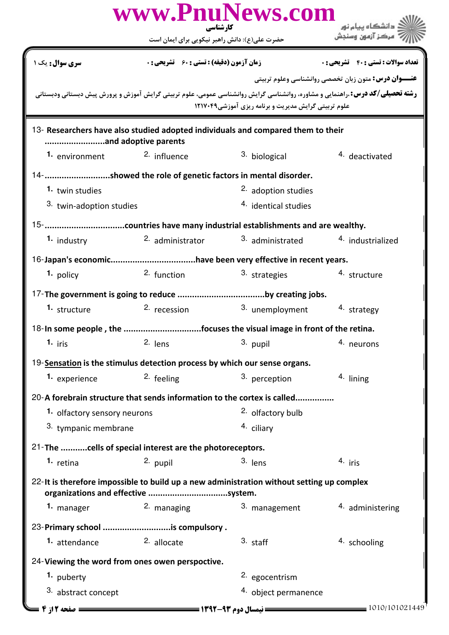|                                                                                                                                                                                                | www.PnuNews.com                                                                  |                                            |                                                             |  |  |  |
|------------------------------------------------------------------------------------------------------------------------------------------------------------------------------------------------|----------------------------------------------------------------------------------|--------------------------------------------|-------------------------------------------------------------|--|--|--|
|                                                                                                                                                                                                | کارشناسی<br>حضرت علی(ع): دانش راهبر نیکویی برای ایمان است                        |                                            |                                                             |  |  |  |
| <b>سری سوال:</b> یک ۱                                                                                                                                                                          | <b>زمان آزمون (دقیقه) : تستی : 60 ٪ تشریحی : 0</b>                               |                                            | <b>تعداد سوالات : تستي : 40 ٪ تشريحي : 0</b>                |  |  |  |
|                                                                                                                                                                                                |                                                                                  |                                            | <b>عنـــوان درس:</b> متون زبان تخصصي روانشناسي وعلوم تربيتي |  |  |  |
| <b>رشته تحصیلی/کد درس: .</b> راهنمایی و مشاوره، روانشناسی گرایش روانشناسی عمومی، علوم تربیتی گرایش آموزش و پرورش پیش دبستانی ودبستانی<br>علوم تربیتی گرایش مدیریت و برنامه ریزی آموزشی ۱۲۱۷۰۴۹ |                                                                                  |                                            |                                                             |  |  |  |
| and adoptive parents                                                                                                                                                                           | 13- Researchers have also studied adopted individuals and compared them to their |                                            |                                                             |  |  |  |
| 1. environment                                                                                                                                                                                 | <sup>2.</sup> influence                                                          | <sup>3.</sup> biological                   | 4. deactivated                                              |  |  |  |
|                                                                                                                                                                                                | 14- showed the role of genetic factors in mental disorder.                       |                                            |                                                             |  |  |  |
| 1. twin studies                                                                                                                                                                                |                                                                                  | 2. adoption studies                        |                                                             |  |  |  |
| 3. twin-adoption studies                                                                                                                                                                       |                                                                                  | 4. identical studies                       |                                                             |  |  |  |
|                                                                                                                                                                                                |                                                                                  |                                            |                                                             |  |  |  |
| 1. industry                                                                                                                                                                                    | 2. administrator                                                                 | 3. administrated                           | 4. industrialized                                           |  |  |  |
|                                                                                                                                                                                                |                                                                                  |                                            |                                                             |  |  |  |
| 1. policy                                                                                                                                                                                      | 2. function                                                                      | 3. strategies                              | 4. structure                                                |  |  |  |
|                                                                                                                                                                                                |                                                                                  |                                            |                                                             |  |  |  |
|                                                                                                                                                                                                | 1. structure 2. recession 3. unemployment 4. strategy                            |                                            |                                                             |  |  |  |
|                                                                                                                                                                                                | 18-In some people, the focuses the visual image in front of the retina.          |                                            |                                                             |  |  |  |
| $1.$ iris                                                                                                                                                                                      | 2. lens                                                                          | 3. pupil                                   | 4. neurons                                                  |  |  |  |
|                                                                                                                                                                                                | 19-Sensation is the stimulus detection process by which our sense organs.        |                                            |                                                             |  |  |  |
| 1. experience                                                                                                                                                                                  | <sup>2.</sup> feeling                                                            | 3. perception                              | 4. lining                                                   |  |  |  |
|                                                                                                                                                                                                | 20-A forebrain structure that sends information to the cortex is called          |                                            |                                                             |  |  |  |
| 1. olfactory sensory neurons                                                                                                                                                                   |                                                                                  | 2. olfactory bulb                          |                                                             |  |  |  |
| 3. tympanic membrane                                                                                                                                                                           |                                                                                  | 4. ciliary                                 |                                                             |  |  |  |
|                                                                                                                                                                                                | 21-The cells of special interest are the photoreceptors.                         |                                            |                                                             |  |  |  |
| 1. retina                                                                                                                                                                                      | 2. pupil                                                                         | 3. lens                                    | 4. iris                                                     |  |  |  |
| 22-It is therefore impossible to build up a new administration without setting up complex<br>organizations and effective system.                                                               |                                                                                  |                                            |                                                             |  |  |  |
| 1. manager                                                                                                                                                                                     | 2. managing                                                                      | 3. management                              | 4. administering                                            |  |  |  |
|                                                                                                                                                                                                | 23- Primary school is compulsory .                                               |                                            |                                                             |  |  |  |
| 1. attendance                                                                                                                                                                                  | 2. allocate                                                                      | $3.$ staff                                 | 4. schooling                                                |  |  |  |
|                                                                                                                                                                                                | 24-Viewing the word from ones owen perspoctive.                                  |                                            |                                                             |  |  |  |
| 1. puberty                                                                                                                                                                                     |                                                                                  | <sup>2.</sup> egocentrism                  |                                                             |  |  |  |
| 3. abstract concept                                                                                                                                                                            |                                                                                  | 4. object permanence                       |                                                             |  |  |  |
| = صفحه 12; 4                                                                                                                                                                                   |                                                                                  | <b>ــــــ نیمسال دوم ۹۳-۱۳۹۲ ـــــــــ</b> | 1010/101021449                                              |  |  |  |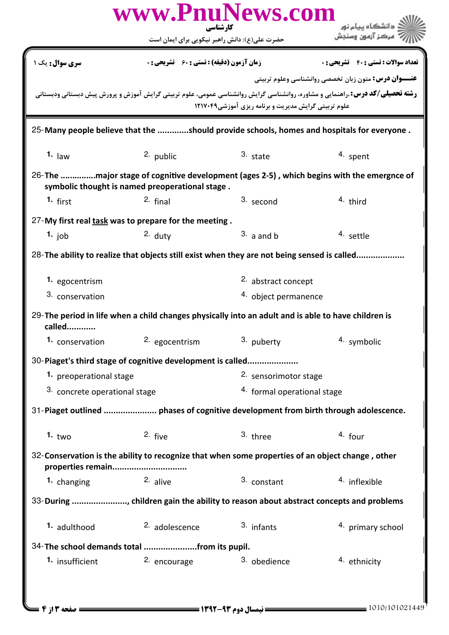| www.PnuNews.com<br>دانشگاه پیام نور<br>کار شناسی                                                                                             |                                                                                                     |                                                       |                                                                                                                                       |  |  |  |
|----------------------------------------------------------------------------------------------------------------------------------------------|-----------------------------------------------------------------------------------------------------|-------------------------------------------------------|---------------------------------------------------------------------------------------------------------------------------------------|--|--|--|
|                                                                                                                                              | حضرت علی(ع): دانش راهبر نیکویی برای ایمان است                                                       |                                                       | ً مرڪز آزمون وسنڊش                                                                                                                    |  |  |  |
| <b>سری سوال :</b> یک ۱                                                                                                                       | <b>زمان آزمون (دقیقه) : تستی : 60 گشریحی : 0</b>                                                    |                                                       | <b>تعداد سوالات : تستي : 40 ٪ تشريحي : 0</b>                                                                                          |  |  |  |
|                                                                                                                                              |                                                                                                     |                                                       | <b>عنـــوان درس:</b> متون زبان تخصصي روانشناسي وعلوم تربيتي                                                                           |  |  |  |
|                                                                                                                                              |                                                                                                     | علوم تربیتی گرایش مدیریت و برنامه ریزی آموزشی ۱۲۱۷۰۴۹ | <b>رشته تحصیلی/کد درس: .</b> راهنمایی و مشاوره، روانشناسی گرایش روانشناسی عمومی، علوم تربیتی گرایش آموزش و پرورش پیش دبستانی ودبستانی |  |  |  |
|                                                                                                                                              | 25-Many people believe that the should provide schools, homes and hospitals for everyone.           |                                                       |                                                                                                                                       |  |  |  |
| $1.1$ aw                                                                                                                                     | 2. public                                                                                           | $3.$ state                                            | 4. spent                                                                                                                              |  |  |  |
| 26-The major stage of cognitive development (ages 2-5), which begins with the emergnce of<br>symbolic thought is named preoperational stage. |                                                                                                     |                                                       |                                                                                                                                       |  |  |  |
| $1.$ first                                                                                                                                   | $2.$ final                                                                                          | 3. second                                             | 4. third                                                                                                                              |  |  |  |
|                                                                                                                                              | 27-My first real task was to prepare for the meeting.                                               |                                                       |                                                                                                                                       |  |  |  |
| 1. job                                                                                                                                       | $2.$ duty                                                                                           | $3. a$ and b                                          | 4. settle                                                                                                                             |  |  |  |
|                                                                                                                                              | 28-The ability to realize that objects still exist when they are not being sensed is called         |                                                       |                                                                                                                                       |  |  |  |
| 1. egocentrism                                                                                                                               |                                                                                                     | 2. abstract concept                                   |                                                                                                                                       |  |  |  |
| 3. conservation                                                                                                                              |                                                                                                     | <sup>4.</sup> object permanence                       |                                                                                                                                       |  |  |  |
| called                                                                                                                                       | 29-The period in life when a child changes physically into an adult and is able to have children is |                                                       |                                                                                                                                       |  |  |  |
| 1. conservation                                                                                                                              | 2. egocentrism                                                                                      | 3. puberty                                            | 4. symbolic                                                                                                                           |  |  |  |
|                                                                                                                                              | 30-Piaget's third stage of cognitive development is called                                          |                                                       |                                                                                                                                       |  |  |  |
|                                                                                                                                              | 1. preoperational stage                                                                             |                                                       | 2. sensorimotor stage                                                                                                                 |  |  |  |
| 3. concrete operational stage                                                                                                                |                                                                                                     | 4. formal operational stage                           |                                                                                                                                       |  |  |  |
|                                                                                                                                              | 31-Piaget outlined  phases of cognitive development from birth through adolescence.                 |                                                       |                                                                                                                                       |  |  |  |
| 1. $two$                                                                                                                                     | $2.$ five                                                                                           | $3.$ three                                            | 4. four                                                                                                                               |  |  |  |
| properties remain                                                                                                                            | 32-Conservation is the ability to recognize that when some properties of an object change, other    |                                                       |                                                                                                                                       |  |  |  |
| $1.$ changing                                                                                                                                | 2. alive                                                                                            | 3. constant                                           | 4. inflexible                                                                                                                         |  |  |  |
|                                                                                                                                              | 33-During , children gain the ability to reason about abstract concepts and problems                |                                                       |                                                                                                                                       |  |  |  |
| 1. adulthood                                                                                                                                 | 2. adolescence                                                                                      | $3.$ infants                                          | 4. primary school                                                                                                                     |  |  |  |
|                                                                                                                                              | 34-The school demands total from its pupil.                                                         |                                                       |                                                                                                                                       |  |  |  |
| 1. insufficient                                                                                                                              | 2. encourage                                                                                        | 3. obedience                                          | 4. ethnicity                                                                                                                          |  |  |  |
|                                                                                                                                              |                                                                                                     |                                                       |                                                                                                                                       |  |  |  |